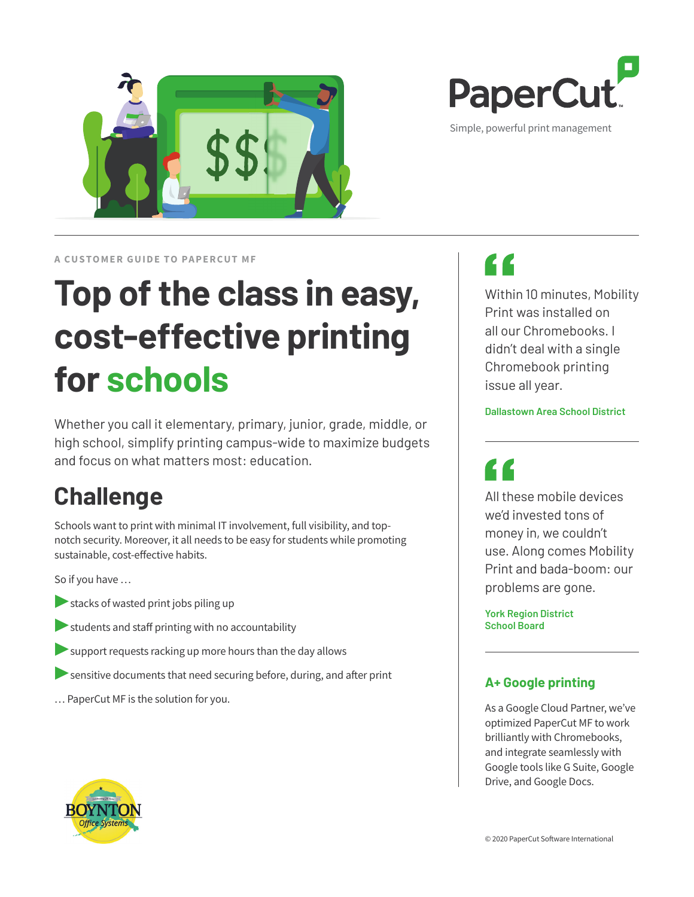

Simple, powerful print management

**A CUSTOMER GUIDE TO PAPERCUT ME** 

# **Top of the class in easy, cost-effective printing for schools**

Whether you call it elementary, primary, junior, grade, middle, or high school, simplify printing campus-wide to maximize budgets and focus on what matters most: education.

## **Challenge**

Schools want to print with minimal IT involvement, full visibility, and topnotch security. Moreover, it all needs to be easy for students while promoting sustainable, cost-effective habits.

So if you have …

- **•** stacks of wasted print jobs piling up
- **▶**students and staff printing with no accountability
- **EXA** support requests racking up more hours than the day allows
- **•** sensitive documents that need securing before, during, and after print
- … PaperCut MF is the solution for you.

# <u>L L</u>

Within 10 minutes, Mobility Print was installed on all our Chromebooks. I didn't deal with a single Chromebook printing issue all year.

#### **Dallastown Area School District**

All these mobile devices we'd invested tons of money in, we couldn't use. Along comes Mobility Print and bada-boom: our problems are gone.

**York Region District School Board**

#### **A+ Google printing**

As a Google Cloud Partner, we've optimized PaperCut MF to work brilliantly with Chromebooks, and integrate seamlessly with Google tools like G Suite, Google Drive, and Google Docs.